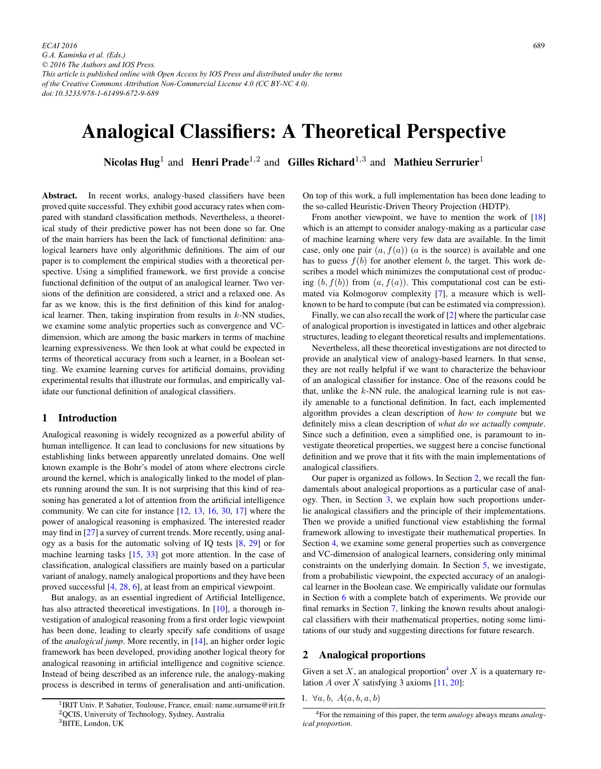# Analogical Classifiers: A Theoretical Perspective

Nicolas Hug<sup>1</sup> and Henri Prade<sup>1,2</sup> and Gilles Richard<sup>1,3</sup> and Mathieu Serrurier<sup>1</sup>

Abstract. In recent works, analogy-based classifiers have been proved quite successful. They exhibit good accuracy rates when compared with standard classification methods. Nevertheless, a theoretical study of their predictive power has not been done so far. One of the main barriers has been the lack of functional definition: analogical learners have only algorithmic definitions. The aim of our paper is to complement the empirical studies with a theoretical perspective. Using a simplified framework, we first provide a concise functional definition of the output of an analogical learner. Two versions of the definition are considered, a strict and a relaxed one. As far as we know, this is the first definition of this kind for analogical learner. Then, taking inspiration from results in  $k$ -NN studies, we examine some analytic properties such as convergence and VCdimension, which are among the basic markers in terms of machine learning expressiveness. We then look at what could be expected in terms of theoretical accuracy from such a learner, in a Boolean setting. We examine learning curves for artificial domains, providing experimental results that illustrate our formulas, and empirically validate our functional definition of analogical classifiers.

## 1 Introduction

Analogical reasoning is widely recognized as a powerful ability of human intelligence. It can lead to conclusions for new situations by establishing links between apparently unrelated domains. One well known example is the Bohr's model of atom where electrons circle around the kernel, which is analogically linked to the model of planets running around the sun. It is not surprising that this kind of reasoning has generated a lot of attention from the artificial intelligence community. We can cite for instance [\[12,](#page-8-0) [13,](#page-8-0) [16,](#page-8-0) [30,](#page-8-0) [17\]](#page-8-0) where the power of analogical reasoning is emphasized. The interested reader may find in [\[27\]](#page-8-0) a survey of current trends. More recently, using analogy as a basis for the automatic solving of IQ tests [\[8,](#page-8-0) [29\]](#page-8-0) or for machine learning tasks [\[15,](#page-8-0) [33\]](#page-8-0) got more attention. In the case of classification, analogical classifiers are mainly based on a particular variant of analogy, namely analogical proportions and they have been proved successful [\[4,](#page-8-0) [28,](#page-8-0) [6\]](#page-8-0), at least from an empirical viewpoint.

But analogy, as an essential ingredient of Artificial Intelligence, has also attracted theoretical investigations. In [\[10\]](#page-8-0), a thorough investigation of analogical reasoning from a first order logic viewpoint has been done, leading to clearly specify safe conditions of usage of the *analogical jump*. More recently, in [\[14\]](#page-8-0), an higher order logic framework has been developed, providing another logical theory for analogical reasoning in artificial intelligence and cognitive science. Instead of being described as an inference rule, the analogy-making process is described in terms of generalisation and anti-unification.

On top of this work, a full implementation has been done leading to the so-called Heuristic-Driven Theory Projection (HDTP).

From another viewpoint, we have to mention the work of  $[18]$ which is an attempt to consider analogy-making as a particular case of machine learning where very few data are available. In the limit case, only one pair  $(a, f(a))$  (a is the source) is available and one has to guess  $f(b)$  for another element b, the target. This work describes a model which minimizes the computational cost of producing  $(b, f(b))$  from  $(a, f(a))$ . This computational cost can be estimated via Kolmogorov complexity [\[7\]](#page-8-0), a measure which is wellknown to be hard to compute (but can be estimated via compression).

Finally, we can also recall the work of [\[2\]](#page-8-0) where the particular case of analogical proportion is investigated in lattices and other algebraic structures, leading to elegant theoretical results and implementations.

Nevertheless, all these theoretical investigations are not directed to provide an analytical view of analogy-based learners. In that sense, they are not really helpful if we want to characterize the behaviour of an analogical classifier for instance. One of the reasons could be that, unlike the  $k$ -NN rule, the analogical learning rule is not easily amenable to a functional definition. In fact, each implemented algorithm provides a clean description of *how to compute* but we definitely miss a clean description of *what do we actually compute*. Since such a definition, even a simplified one, is paramount to investigate theoretical properties, we suggest here a concise functional definition and we prove that it fits with the main implementations of analogical classifiers.

Our paper is organized as follows. In Section 2, we recall the fundamentals about analogical proportions as a particular case of analogy. Then, in Section [3,](#page-1-0) we explain how such proportions underlie analogical classifiers and the principle of their implementations. Then we provide a unified functional view establishing the formal framework allowing to investigate their mathematical properties. In Section [4,](#page-4-0) we examine some general properties such as convergence and VC-dimension of analogical learners, considering only minimal constraints on the underlying domain. In Section [5,](#page-4-0) we investigate, from a probabilistic viewpoint, the expected accuracy of an analogical learner in the Boolean case. We empirically validate our formulas in Section [6](#page-5-0) with a complete batch of experiments. We provide our final remarks in Section [7,](#page-7-0) linking the known results about analogical classifiers with their mathematical properties, noting some limitations of our study and suggesting directions for future research.

#### 2 Analogical proportions

Given a set X, an analogical proportion<sup>4</sup> over X is a quaternary relation  $A$  over  $X$  satisfying 3 axioms [\[11,](#page-8-0) [20\]](#page-8-0):

<sup>&</sup>lt;sup>1</sup>IRIT Univ. P. Sabatier, Toulouse, France, email: name.surname@irit.fr <sup>2</sup>QCIS, University of Technology, Sydney, Australia

<sup>3</sup>BITE, London, UK

<sup>1.</sup>  $\forall a, b, A(a, b, a, b)$ 

<sup>4</sup>For the remaining of this paper, the term *analogy* always means *analogical proportion*.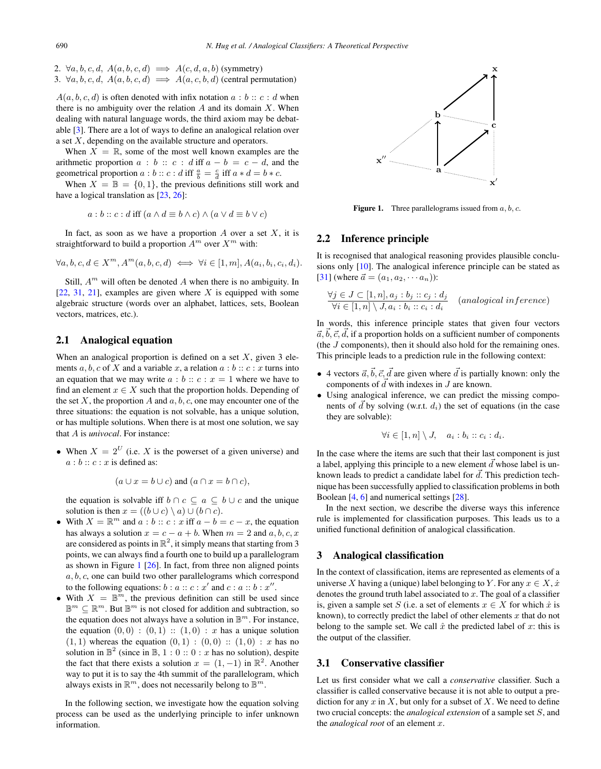<span id="page-1-0"></span>2.  $\forall a, b, c, d, A(a, b, c, d) \implies A(c, d, a, b)$  (symmetry) 3.  $\forall a, b, c, d, A(a, b, c, d) \implies A(a, c, b, d)$  (central permutation)

 $A(a, b, c, d)$  is often denoted with infix notation  $a : b :: c : d$  when there is no ambiguity over the relation  $A$  and its domain  $X$ . When dealing with natural language words, the third axiom may be debatable [\[3\]](#page-8-0). There are a lot of ways to define an analogical relation over a set  $X$ , depending on the available structure and operators.

When  $X = \mathbb{R}$ , some of the most well known examples are the arithmetic proportion  $a : b :: c : d$  iff  $a - b = c - d$ , and the geometrical proportion  $a : b :: c : d$  iff  $\frac{a}{b} = \frac{c}{d}$  iff  $a * d = b * c$ .<br>When  $X = \mathbb{R} - 10, 11$  the previous definitions still work

When  $X = \mathbb{B} = \{0, 1\}$ , the previous definitions still work and have a logical translation as [\[23,](#page-8-0) [26\]](#page-8-0):

$$
a:b::c:d\text{ iff } (a\wedge d\equiv b\wedge c)\wedge(a\vee d\equiv b\vee c)
$$

In fact, as soon as we have a proportion  $A$  over a set  $X$ , it is straightforward to build a proportion  $A^m$  over  $X^m$  with:

$$
\forall a, b, c, d \in X^m, A^m(a, b, c, d) \iff \forall i \in [1, m], A(a_i, b_i, c_i, d_i).
$$

Still,  $A^m$  will often be denoted A when there is no ambiguity. In  $[22, 31, 21]$  $[22, 31, 21]$  $[22, 31, 21]$  $[22, 31, 21]$  $[22, 31, 21]$ , examples are given where X is equipped with some algebraic structure (words over an alphabet, lattices, sets, Boolean vectors, matrices, etc.).

# 2.1 Analogical equation

When an analogical proportion is defined on a set  $X$ , given 3 elements a, b, c of X and a variable x, a relation  $a : b :: c : x$  turns into an equation that we may write  $a : b :: c : x = 1$  where we have to find an element  $x \in X$  such that the proportion holds. Depending of the set  $X$ , the proportion  $A$  and  $a, b, c$ , one may encounter one of the three situations: the equation is not solvable, has a unique solution, or has multiple solutions. When there is at most one solution, we say that A is *univocal*. For instance:

• When  $X = 2^U$  (i.e. X is the powerset of a given universe) and  $a:b:: c:x$  is defined as:

 $(a \cup x = b \cup c)$  and  $(a \cap x = b \cap c)$ ,

the equation is solvable iff  $b \cap c \subseteq a \subseteq b \cup c$  and the unique solution is then  $x = ((b \cup c) \setminus a) \cup (b \cap c)$ .

- With  $X = \mathbb{R}^m$  and  $a : b :: c : x$  iff  $a b = c x$ , the equation has always a solution  $x = c a + b$ . When  $m = 2$  and  $a, b, c, x$ has always a solution  $x = c - a + b$ . When  $m = 2$  and  $a, b, c, x$  are considered as points in  $\mathbb{R}^2$ , it simply means that starting from 3 points, we can always find a fourth one to build up a parallelogram as shown in Figure  $1$  [\[26\]](#page-8-0). In fact, from three non aligned points  $a, b, c$ , one can build two other parallelograms which correspond to the following equations:  $b : a :: c : x'$  and  $c : a :: b : x''$ .<br>With  $X = \mathbb{R}^m$  the previous definition can still be used
- With  $X = \mathbb{B}^m$ , the previous definition can still be used since  $\mathbb{B}^m \subseteq \mathbb{R}^m.$  But  $\mathbb{B}^m$  is not closed for addition and subtraction, so the equation does not always have a solution in  $\mathbb{B}^m$ . For instance, the equation  $(0, 0)$ :  $(0, 1)$ :  $(1, 0)$ : *x* has a unique solution  $(1, 1)$  whereas the equation  $(0, 1) : (0, 0) :: (1, 0) : x$  has no solution in  $\mathbb{B}^2$  (since in  $\mathbb{B}$ , 1 : 0 :: 0 : x has no solution), despite the fact that there exists a solution  $x = (1, -1)$  in  $\mathbb{R}^2$ . Another way to put it is to say the 4th summit of the parallelogram, which always exists in  $\mathbb{R}^m$ , does not necessarily belong to  $\mathbb{B}^m$ .

In the following section, we investigate how the equation solving process can be used as the underlying principle to infer unknown information.



**Figure 1.** Three parallelograms issued from  $a, b, c$ .

#### 2.2 Inference principle

It is recognised that analogical reasoning provides plausible conclusions only [\[10\]](#page-8-0). The analogical inference principle can be stated as [\[31\]](#page-8-0) (where  $\vec{a} = (a_1, a_2, \cdots a_n)$ ):

$$
\forall j \in J \subset [1, n], a_j : b_j :: c_j : d_j
$$
  
\n
$$
\forall i \in [1, n] \setminus J, a_i : b_i :: c_i : d_i
$$
 (analogical inference)

In words, this inference principle states that given four vectors  $\vec{a}, \vec{b}, \vec{c}, \vec{d}$ , if a proportion holds on a sufficient number of components (the  $J$  components), then it should also hold for the remaining ones. This principle leads to a prediction rule in the following context:

- 4 vectors  $\vec{a}, \vec{b}, \vec{c}, \vec{d}$  are given where  $\vec{d}$  is partially known: only the components of  $\vec{d}$  with indexes in  $J$  are known.
- Using analogical inference, we can predict the missing components of  $\vec{d}$  by solving (w.r.t.  $d_i$ ) the set of equations (in the case they are solvable):

$$
\forall i \in [1, n] \setminus J, \quad a_i : b_i :: c_i : d_i.
$$

In the case where the items are such that their last component is just a label, applying this principle to a new element  $\vec{d}$  whose label is unknown leads to predict a candidate label for  $\vec{d}$ . This prediction technique has been successfully applied to classification problems in both Boolean [\[4,](#page-8-0) [6\]](#page-8-0) and numerical settings [\[28\]](#page-8-0).

In the next section, we describe the diverse ways this inference rule is implemented for classification purposes. This leads us to a unified functional definition of analogical classification.

#### 3 Analogical classification

In the context of classification, items are represented as elements of a universe X having a (unique) label belonging to Y. For any  $x \in X$ ,  $\dot{x}$ denotes the ground truth label associated to  $x$ . The goal of a classifier is, given a sample set S (i.e. a set of elements  $x \in X$  for which  $\dot{x}$  is known), to correctly predict the label of other elements  $x$  that do not belong to the sample set. We call  $\hat{x}$  the predicted label of x: this is the output of the classifier.

#### 3.1 Conservative classifier

Let us first consider what we call a *conservative* classifier. Such a classifier is called conservative because it is not able to output a prediction for any  $x$  in  $X$ , but only for a subset of  $X$ . We need to define two crucial concepts: the *analogical extension* of a sample set S, and the *analogical root* of an element x.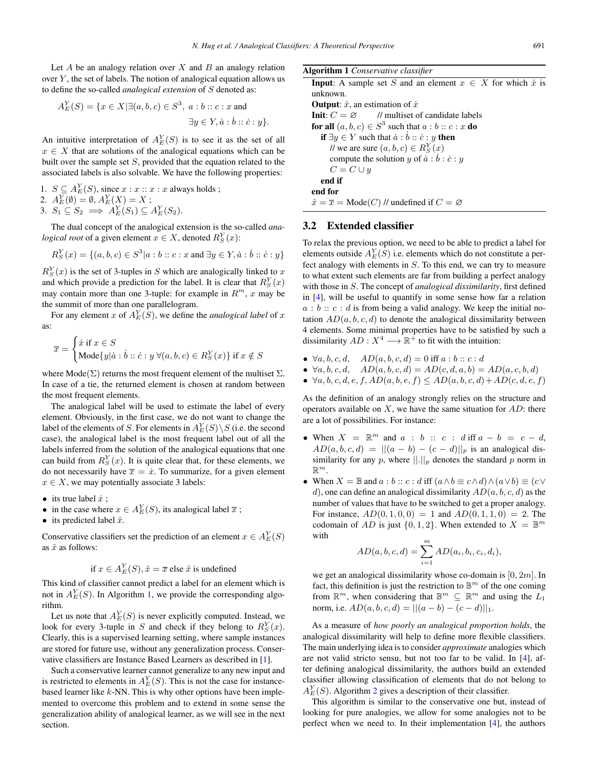<span id="page-2-0"></span>Let  $A$  be an analogy relation over  $X$  and  $B$  an analogy relation over  $Y$ , the set of labels. The notion of analogical equation allows us to define the so-called *analogical extension* of S denoted as:

$$
A_E^Y(S) = \{x \in X | \exists (a, b, c) \in S^3, a : b :: c : x \text{ and}
$$

$$
\exists y \in Y, \dot{a} : \dot{b} :: \dot{c} : y\}.
$$

An intuitive interpretation of  $A_E^Y(S)$  is to see it as the set of all  $x \in X$  that are solutions of the analogical equations which can be  $x \in X$  that are solutions of the analogical equations which can be built over the sample set  $S$ , provided that the equation related to the associated labels is also solvable. We have the following properties:

- 1.  $S \subseteq A_E^Y(S)$ , since  $x : x : x : x$  always holds;<br>
2.  $A_E^Y(\emptyset) = \emptyset$ ,  $A_E^Y(X) = X$ ;<br>
3.  $S_1 \subseteq S_2 \longrightarrow A_E^Y(S_1) \subseteq A_E^Y(S_2)$
- 
- 3.  $S_1 \subseteq S_2 \implies A_E^Y(S_1) \subseteq A_E^Y(S_2).$

The dual concept of the analogical extension is the so-called *analogical root* of a given element  $x \in X$ , denoted  $R_S^Y(x)$ :

$$
R_S^Y(x) = \{(a, b, c) \in S^3 | a : b :: c : x \text{ and } \exists y \in Y, \dot{a} : \dot{b} :: \dot{c} : y\}
$$

 $R_S^Y(x)$  is the set of 3-tuples in S which are analogically linked to x<br>and which provide a prediction for the label. It is clear that  $R_L^Y(x)$ and which provide a prediction for the label. It is clear that  $R_S^Y(x)$ <br>may contain more than one 3-tuple; for example in  $R^m$ , x may be may contain more than one 3-tuple: for example in  $R^m$ , x may be the summit of more than one parallelogram.

For any element x of  $A_E^Y(\tilde{S})$ , we define the *analogical label* of x as:

$$
\overline{x} = \begin{cases} \dot{x} \text{ if } x \in S \\ \text{Mode}\{y | \dot{a} : \dot{b} :: \dot{c} : y \; \forall (a, b, c) \in R_S^Y(x) \} \text{ if } x \notin S \end{cases}
$$

where  $\text{Mode}(\Sigma)$  returns the most frequent element of the multiset  $\Sigma$ . In case of a tie, the returned element is chosen at random between the most frequent elements.

The analogical label will be used to estimate the label of every element. Obviously, in the first case, we do not want to change the label of the elements of S. For elements in  $A_E^Y(S) \setminus S$  (i.e. the second case), the analogical label is the most frequent label out of all the case), the analogical label is the most frequent label out of all the labels inferred from the solution of the analogical equations that one can build from  $R_S^Y(x)$ . It is quite clear that, for these elements, we<br>do not necessarily have  $\overline{x} = \dot{x}$ . To summarize, for a given element do not necessarily have  $\overline{x} = \dot{x}$ . To summarize, for a given element  $x \in X$ , we may potentially associate 3 labels:

- its true label  $\dot{x}$ ;
- in the case where  $x \in A_E^Y(S)$ , its analogical label  $\bar{x}$ ;
- its predicted label  $\hat{x}$ .

Conservative classifiers set the prediction of an element  $x \in A_E^Y(S)$ <br>as  $\hat{x}$  as follows: as  $\hat{x}$  as follows:

if 
$$
x \in A_E^Y(S)
$$
,  $\hat{x} = \overline{x}$  else  $\hat{x}$  is undefined

This kind of classifier cannot predict a label for an element which is not in  $A_E^Y(S)$ . In Algorithm 1, we provide the corresponding algorithm rithm.

Let us note that  $A_E^Y(S)$  is never explicitly computed. Instead, we<br>be for every 3-tuple in S and check if they belong to  $B^Y(x)$ look for every 3-tuple in S and check if they belong to  $R_S^Y(x)$ .<br>Clearly this is a supervised learning setting where sample instances Clearly, this is a supervised learning setting, where sample instances are stored for future use, without any generalization process. Conservative classifiers are Instance Based Learners as described in [\[1\]](#page-8-0).

Such a conservative learner cannot generalize to any new input and is restricted to elements in  $A_E^Y(S)$ . This is not the case for instance-<br>hased learner like k-NN. This is why other options have been implebased learner like  $k$ -NN. This is why other options have been implemented to overcome this problem and to extend in some sense the generalization ability of analogical learner, as we will see in the next section.

| <b>Algorithm 1</b> Conservative classifier                                    |
|-------------------------------------------------------------------------------|
| <b>Input:</b> A sample set S and an element $x \in X$ for which $\dot{x}$ is  |
| unknown.                                                                      |
| <b>Output:</b> $\hat{x}$ , an estimation of $\hat{x}$                         |
| <b>Init:</b> $C = \emptyset$ // multiset of candidate labels                  |
| for all $(a, b, c) \in S^3$ such that $a : b :: c : x$ do                     |
| <b>if</b> $\exists y \in Y$ such that $\dot{a} : \dot{b} :: \dot{c} : y$ then |
| // we are sure $(a, b, c) \in R_S^Y(x)$                                       |
| compute the solution y of $\dot{a}$ : $b$ : $\dot{c}$ : y                     |
| $C = C \cup y$                                                                |
| end if                                                                        |
| end for                                                                       |
| $\hat{x} = \overline{x} = \text{Mode}(C)$ // undefined if $C = \emptyset$     |
|                                                                               |

## 3.2 Extended classifier

To relax the previous option, we need to be able to predict a label for elements outside  $A_E^Y(\hat{S})$  i.e. elements which do not constitute a per-<br>fect analogy with elements in S. To this end, we can try to measure fect analogy with elements in S. To this end, we can try to measure to what extent such elements are far from building a perfect analogy with those in S. The concept of *analogical dissimilarity*, first defined in [\[4\]](#page-8-0), will be useful to quantify in some sense how far a relation  $a:b:: c:d$  is from being a valid analogy. We keep the initial notation  $AD(a, b, c, d)$  to denote the analogical dissimilarity between 4 elements. Some minimal properties have to be satisfied by such a dissimilarity  $AD: X^4 \longrightarrow \mathbb{R}^+$  to fit with the intuition:

- $\forall a, b, c, d, \quad AD(a, b, c, d) = 0$  iff  $a : b :: c : d$
- $\forall a, b, c, d, \quad AD(a, b, c, d) = AD(c, d, a, b) = AD(a, c, b, d)$
- $\forall a, b, c, d, e, f, AD(a, b, e, f) \le AD(a, b, c, d) + AD(c, d, e, f)$

As the definition of an analogy strongly relies on the structure and operators available on  $X$ , we have the same situation for  $AD$ : there are a lot of possibilities. For instance:

- When  $X = \mathbb{R}^m$  and  $a : b :: c : d$  iff  $a b = c d$ ,  $AD(a, b, c, d) = ||(a - b) - (c - d)||_p$  is an analogical dissimilarity for any p, where  $\lVert \cdot \rVert_p$  denotes the standard p norm in  $\mathbb{R}^m$ .
- When  $X = \mathbb{B}$  and  $a : b :: c : d$  iff  $(a \wedge b \equiv c \wedge d) \wedge (a \vee b) \equiv (c \vee c)$ d), one can define an analogical dissimilarity  $AD(a, b, c, d)$  as the number of values that have to be switched to get a proper analogy. For instance,  $AD(0, 1, 0, 0) = 1$  and  $AD(0, 1, 1, 0) = 2$ . The codomain of AD is just  $\{0, 1, 2\}$ . When extended to  $X = \mathbb{B}^m$ with

$$
AD(a, b, c, d) = \sum_{i=1}^{m} AD(a_i, b_i, c_i, d_i),
$$

we get an analogical dissimilarity whose co-domain is  $[0, 2m]$ . In fact, this definition is just the restriction to  $\mathbb{B}^m$  of the one coming from  $\mathbb{R}^m$ , when considering that  $\mathbb{B}^m \subset \mathbb{R}^m$  and using the  $L_1$ norm, i.e.  $AD(a, b, c, d) = ||(a - b) - (c - d)||_1$ .

As a measure of *how poorly an analogical proportion holds*, the analogical dissimilarity will help to define more flexible classifiers. The main underlying idea is to consider *approximate* analogies which are not valid stricto sensu, but not too far to be valid. In [\[4\]](#page-8-0), after defining analogical dissimilarity, the authors build an extended classifier allowing classification of elements that do not belong to  $A_E^Y(S)$ . Algorithm [2](#page-3-0) gives a description of their classifier.<br>This algorithm is similar to the conservative one but

This algorithm is similar to the conservative one but, instead of looking for pure analogies, we allow for some analogies not to be perfect when we need to. In their implementation [\[4\]](#page-8-0), the authors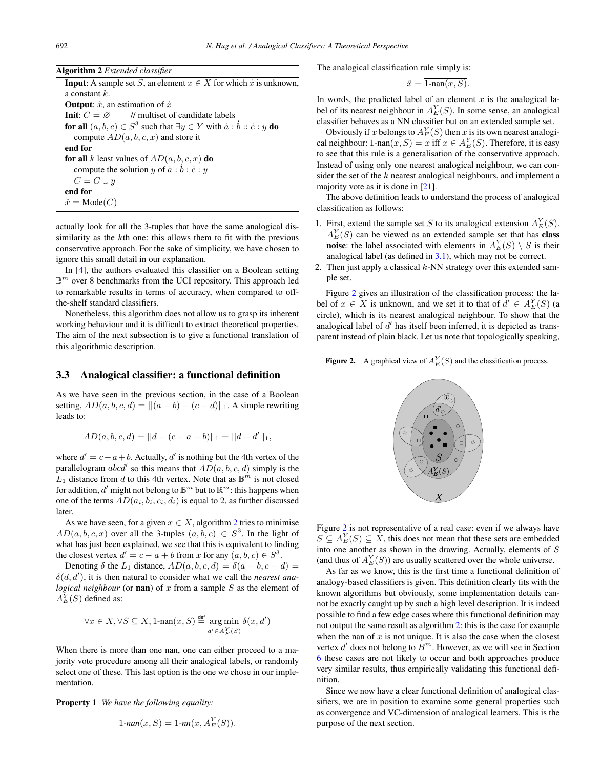<span id="page-3-0"></span>Algorithm 2 *Extended classifier*

**Input:** A sample set S, an element  $x \in X$  for which  $\dot{x}$  is unknown, a constant k. **Output:**  $\hat{x}$ , an estimation of  $\dot{x}$ <br>**Init:**  $C = \emptyset$  // multiset of candidate labels **Init:**  $C = \emptyset$  // multiset of candidate labels<br>**for all**  $(a, b, c) \in S^3$  such that  $\exists u \in V$  with  $\dot{a}$ . for all  $(a, b, c) \in S^3$  such that  $\exists y \in Y$  with  $\dot{a} : \dot{b} :: \dot{c} : y$  do<br>compute  $AD(a, b, c, x)$  and store it compute  $AD(a, b, c, x)$  and store it end for for all k least values of  $AD(a, b, c, x)$  do compute the solution y of  $\dot{a} : b : \dot{c} : y$ <br>  $C = C \sqcup y$  $C = C \cup y$ end for  $\hat{x} = \text{Mode}(C)$ 

actually look for all the 3-tuples that have the same analogical dissimilarity as the kth one: this allows them to fit with the previous conservative approach. For the sake of simplicity, we have chosen to ignore this small detail in our explanation.

In [\[4\]](#page-8-0), the authors evaluated this classifier on a Boolean setting  $\mathbb{B}^m$  over 8 benchmarks from the UCI repository. This approach led to remarkable results in terms of accuracy, when compared to offthe-shelf standard classifiers.

Nonetheless, this algorithm does not allow us to grasp its inherent working behaviour and it is difficult to extract theoretical properties. The aim of the next subsection is to give a functional translation of this algorithmic description.

## 3.3 Analogical classifier: a functional definition

As we have seen in the previous section, in the case of a Boolean setting,  $AD(a, b, c, d) = ||(a - b) - (c - d)||_1$ . A simple rewriting leads to:

$$
AD(a, b, c, d) = ||d - (c - a + b)||_1 = ||d - d'||_1,
$$

where  $d' = c - a + b$ . Actually, d' is nothing but the 4th vertex of the parallelogram *abod'* so this means that  $AD(a, b, c, d)$  simply is the parallelogram *abcd'* so this means that  $AD(a, b, c, d)$  simply is the L<sub>3</sub> distance from d to this 4th vertex. Note that as  $\mathbb{R}^m$  is not closed  $L_1$  distance from d to this 4th vertex. Note that as  $\mathbb{B}^m$  is not closed for addition, d' might not belong to  $\mathbb{B}^m$  but to  $\mathbb{R}^m$ : this happens when one of the terms  $AD(a_i, b_i, c_i, d_i)$  is equal to 2, as further discussed later.

As we have seen, for a given  $x \in X$ , algorithm 2 tries to minimise  $AD(a, b, c, x)$  over all the 3-tuples  $(a, b, c) \in S<sup>3</sup>$ . In the light of what has just been explained, we see that this is equivalent to finding the closest vertex  $d' = c - a + b$  from x for any  $(a, b, c) \in S^3$ .<br>Denoting  $\delta$  the L<sub>1</sub> distance  $AD(a, b, c, d) - \delta(a - b, c - d)$ 

Denoting  $\delta$  the  $L_1$  distance,  $AD(a, b, c, d) = \delta(a - b, c - d)$  $\delta(d, d')$ , it is then natural to consider what we call the *nearest ana-*<br>*logical neighbour* (or **nan**) of x from a sample S as the element of *logical neighbour* (or **nan**) of  $x$  from a sample  $S$  as the element of  $A_E^Y(S)$  defined as:

$$
\forall x \in X, \forall S \subseteq X, 1\text{-nan}(x, S) \stackrel{\text{def}}{=} \mathop{\arg\min}_{d' \in A_E^Y(S)} \delta(x, d')
$$

When there is more than one nan, one can either proceed to a majority vote procedure among all their analogical labels, or randomly select one of these. This last option is the one we chose in our implementation.

Property 1 *We have the following equality:*

$$
1\text{-}nan(x, S) = 1\text{-}nn(x, A_E^Y(S)).
$$

The analogical classification rule simply is:

$$
\hat{x} = 1\text{-nan}(x, S).
$$

In words, the predicted label of an element  $x$  is the analogical label of its nearest neighbour in  $A_E^Y(S)$ . In some sense, an analogical<br>classifier behaves as a NN classifier but on an extended sample set classifier behaves as a NN classifier but on an extended sample set.

Obviously if x belongs to  $A_E^Y(S)$  then x is its own nearest analogi-<br>periphential near  $(S) = x$  iff  $x \in A_E^Y(S)$ . Therefore, it is easy cal neighbour: 1-nan $(x, S) = x$  iff  $x \in A_E^Y(S)$ . Therefore, it is easy to see that this rule is a generalisation of the conservative annoach to see that this rule is a generalisation of the conservative approach. Instead of using only one nearest analogical neighbour, we can consider the set of the  $k$  nearest analogical neighbours, and implement a majority vote as it is done in [\[21\]](#page-8-0).

The above definition leads to understand the process of analogical classification as follows:

- 1. First, extend the sample set S to its analogical extension  $A_E^Y(S)$ .<br> $A_E^Y(S)$  can be viewed as an extended sample set that has **class**  $A_E^Y(S)$  can be viewed as an extended sample set that has **class**<br>**noise**: the label associated with elements in  $A_Y^Y(S) \setminus S$  is their **noise:** the label associated with elements in  $A_E^Y(S) \setminus S$  is their<br>analogical label (as defined in 3.1) which may not be correct analogical label (as defined in [3.1\)](#page-1-0), which may not be correct.
- 2. Then just apply a classical  $k$ -NN strategy over this extended sample set.

Figure 2 gives an illustration of the classification process: the label of  $x \in X$  is unknown, and we set it to that of  $\tilde{d}' \in A_E^Y(S)$  (a circle) which is its negrest analogical neighbour. To show that the circle), which is its nearest analogical neighbour. To show that the analogical label of  $d'$  has itself been inferred, it is depicted as transparent instead of plain black. Let us note that topologically speaking,

**Figure 2.** A graphical view of  $A_E^Y(S)$  and the classification process.



Figure 2 is not representative of a real case: even if we always have  $S \subseteq A_E^Y(S) \subseteq \hat{X}$ , this does not mean that these sets are embedded<br>into one another as shown in the drawing. Actually, elements of S into one another as shown in the drawing. Actually, elements of S (and thus of  $A_E^Y(S)$ ) are usually scattered over the whole universe.<br>As far as we know this is the first time a functional definition

As far as we know, this is the first time a functional definition of analogy-based classifiers is given. This definition clearly fits with the known algorithms but obviously, some implementation details cannot be exactly caught up by such a high level description. It is indeed possible to find a few edge cases where this functional definition may not output the same result as algorithm 2: this is the case for example when the nan of  $x$  is not unique. It is also the case when the closest vertex  $d'$  does not belong to  $B^m$ . However, as we will see in Section [6](#page-5-0) these cases are not likely to occur and both approaches produce very similar results, thus empirically validating this functional definition.

Since we now have a clear functional definition of analogical classifiers, we are in position to examine some general properties such as convergence and VC-dimension of analogical learners. This is the purpose of the next section.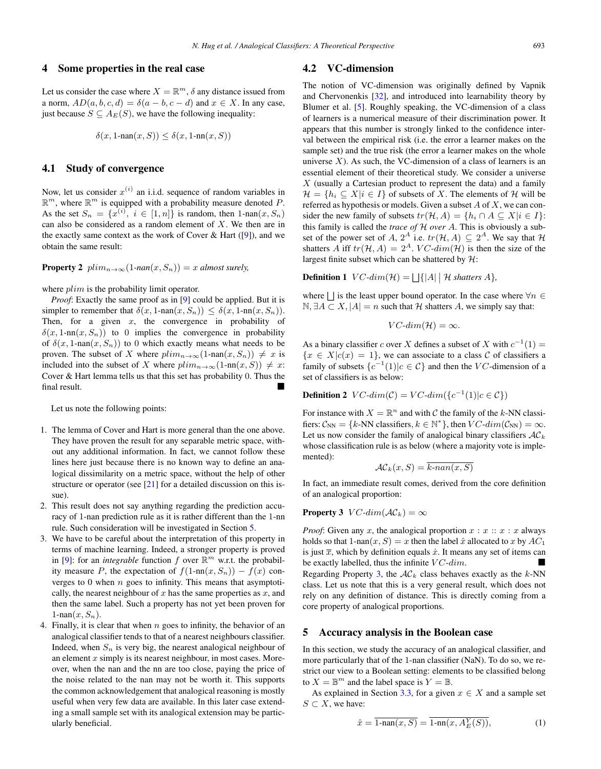#### <span id="page-4-0"></span>4 Some properties in the real case

Let us consider the case where  $X = \mathbb{R}^m$ ,  $\delta$  any distance issued from a norm,  $AD(a, b, c, d) = \delta(a - b, c - d)$  and  $x \in X$ . In any case, just because  $S \subseteq A_E(S)$ , we have the following inequality:

$$
\delta(x, 1\text{-nan}(x, S)) \le \delta(x, 1\text{-nn}(x, S))
$$

#### 4.1 Study of convergence

Now, let us consider  $x^{(i)}$  an i.i.d. sequence of random variables in  $\mathbb{R}^m$ , where  $\mathbb{R}^m$  is equipped with a probability measure denoted P. As the set  $S_n = \{x^{(i)}, i \in [1, n]\}$  is random, then  $1$ -nan $(x, S_n)$ <br>can also be considered as a random element of X. We then are in can also be considered as a random element of X. We then are in the exactly same context as the work of Cover  $\&$  Hart ([\[9\]](#page-8-0)), and we obtain the same result:

**Property 2**  $plim_{n\to\infty}(1-na(x, S_n)) = x$  *almost surely,* 

where  $plim$  is the probability limit operator.

*Proof*: Exactly the same proof as in [\[9\]](#page-8-0) could be applied. But it is simpler to remember that  $\delta(x, 1\text{-nan}(x, S_n)) \leq \delta(x, 1\text{-nn}(x, S_n)).$ Then, for a given  $x$ , the convergence in probability of  $\delta(x, 1\text{-nn}(x, S_n))$  to 0 implies the convergence in probability of  $\delta(x, 1\text{-nan}(x, S_n))$  to 0 which exactly means what needs to be proven. The subset of X where  $plim_{n\to\infty}(1\text{-nan}(x, S_n)) \neq x$  is included into the subset of X where  $plim_{n\to\infty}(1\text{-nn}(x, S)) \neq x$ : Cover & Hart lemma tells us that this set has probability 0. Thus the final result.

Let us note the following points:

- 1. The lemma of Cover and Hart is more general than the one above. They have proven the result for any separable metric space, without any additional information. In fact, we cannot follow these lines here just because there is no known way to define an analogical dissimilarity on a metric space, without the help of other structure or operator (see [\[21\]](#page-8-0) for a detailed discussion on this issue).
- 2. This result does not say anything regarding the prediction accuracy of 1-nan prediction rule as it is rather different than the 1-nn rule. Such consideration will be investigated in Section 5.
- 3. We have to be careful about the interpretation of this property in terms of machine learning. Indeed, a stronger property is proved in [\[9\]](#page-8-0): for an *integrable* function f over  $\mathbb{R}^m$  w.r.t. the probability measure P, the expectation of  $f(1-nn(x, S_n)) - f(x)$  converges to 0 when  $n$  goes to infinity. This means that asymptotically, the nearest neighbour of  $x$  has the same properties as  $x$ , and then the same label. Such a property has not yet been proven for  $1$ -nan $(x, S_n)$ .
- 4. Finally, it is clear that when  $n$  goes to infinity, the behavior of an analogical classifier tends to that of a nearest neighbours classifier. Indeed, when  $S_n$  is very big, the nearest analogical neighbour of an element  $x$  simply is its nearest neighbour, in most cases. Moreover, when the nan and the nn are too close, paying the price of the noise related to the nan may not be worth it. This supports the common acknowledgement that analogical reasoning is mostly useful when very few data are available. In this later case extending a small sample set with its analogical extension may be particularly beneficial.

#### 4.2 VC-dimension

The notion of VC-dimension was originally defined by Vapnik and Chervonenkis [\[32\]](#page-8-0), and introduced into learnability theory by Blumer et al. [\[5\]](#page-8-0). Roughly speaking, the VC-dimension of a class of learners is a numerical measure of their discrimination power. It appears that this number is strongly linked to the confidence interval between the empirical risk (i.e. the error a learner makes on the sample set) and the true risk (the error a learner makes on the whole universe  $X$ ). As such, the VC-dimension of a class of learners is an essential element of their theoretical study. We consider a universe  $X$  (usually a Cartesian product to represent the data) and a family  $\mathcal{H} = \{h_i \subset X | i \in I\}$  of subsets of X. The elements of H will be referred as hypothesis or models. Given a subset  $A$  of  $X$ , we can consider the new family of subsets  $tr(\mathcal{H}, A) = \{h_i \cap A \subseteq X | i \in I\}$ : this family is called the *trace of* H *over* A. This is obviously a subset of the power set of A,  $2^A$  i.e.  $tr(\mathcal{H}, A) \subseteq 2^A$ . We say that  $\mathcal{H}$ shatters A iff  $tr(\mathcal{H}, A) = 2^A$ . VC-dim(H) is then the size of the largest finite subset which can be shattered by  $H$ :

**Definition 1**  $VC\text{-}dim(\mathcal{H}) = \bigsqcup \{|A| \mid \mathcal{H} \text{ shatters } A\},\$ 

where  $\vert \cdot \vert$  is the least upper bound operator. In the case where  $\forall n \in \mathbb{R}$ N,  $\exists A \subset X$ ,  $|A| = n$  such that  $H$  shatters  $A$ , we simply say that:

$$
VC\text{-}dim(\mathcal{H}) = \infty.
$$

As a binary classifier c over X defines a subset of X with  $c^{-1}(1) =$  ${x \in X|c(x) = 1}$ , we can associate to a class C of classifiers a family of subsets  $\{c^{-1}(1)|c \in C\}$  and then the VC-dimension of a set of classifiers is as below:

**Definition 2**  $VC\text{-}dim(\mathcal{C}) = VC\text{-}dim(\lbrace c^{-1}(1) | c \in \mathcal{C} \rbrace)$ 

For instance with  $X = \mathbb{R}^n$  and with C the family of the k-NN classifiers:  $C_{NN} = \{k\text{-NN classifiers}, k \in \mathbb{N}^*\},\$  then  $VC\text{-}dim(C_{NN}) = \infty$ . Let us now consider the family of analogical binary classifiers  $AC_k$ whose classification rule is as below (where a majority vote is implemented):

$$
\mathcal{AC}_k(x, S) = k \cdot nan(x, S)
$$

In fact, an immediate result comes, derived from the core definition of an analogical proportion:

**Property 3**  $VC\text{-}dim(\mathcal{AC}_k) = \infty$ 

*Proof*: Given any x, the analogical proportion  $x : x : x : x$  always holds so that 1-nan $(x, S) = x$  then the label  $\hat{x}$  allocated to x by  $AC_1$ is just  $\overline{x}$ , which by definition equals  $\dot{x}$ . It means any set of items can be exactly labelled, thus the infinite  $VC\text{-}dim$ .

Regarding Property 3, the  $AC_k$  class behaves exactly as the k-NN class. Let us note that this is a very general result, which does not rely on any definition of distance. This is directly coming from a core property of analogical proportions.

#### 5 Accuracy analysis in the Boolean case

In this section, we study the accuracy of an analogical classifier, and more particularly that of the 1-nan classifier (NaN). To do so, we restrict our view to a Boolean setting: elements to be classified belong to  $X = \mathbb{B}^m$  and the label space is  $Y = \mathbb{B}$ .

As explained in Section [3.3,](#page-3-0) for a given  $x \in X$  and a sample set  $S \subset X$ , we have:

$$
\hat{x} = \overline{1 - \text{nan}(x, S)} = \overline{1 - \text{nn}(x, A_E^Y(S))},
$$
(1)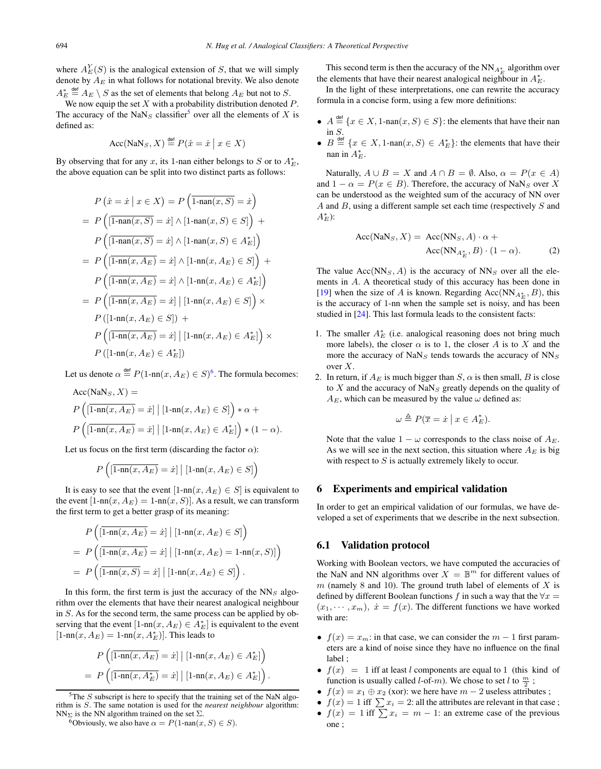<span id="page-5-0"></span>where  $A_E^Y(S)$  is the analogical extension of S, that we will simply<br>denote by  $A_E$  in what follows for notational brevity. We also denote denote by  $A_E$  in what follows for notational brevity. We also denote  $A_E^* \stackrel{\text{def}}{=} A_E \setminus S$  as the set of elements that belong  $A_E$  but not to S.<br>We now equin the set X with a probability distribution denoted

We now equip the set  $X$  with a probability distribution denoted  $P$ . The accuracy of the NaN<sub>S</sub> classifier<sup>5</sup> over all the elements of X is defined as:

$$
\text{Acc}(\text{NaN}_S, X) \stackrel{\text{def}}{=} P(\hat{x} = \dot{x} \mid x \in X)
$$

By observing that for any x, its 1-nan either belongs to S or to  $A_E^*$ , the above equation can be split into two distinct parts as follows: the above equation can be split into two distinct parts as follows:

$$
P\left(\hat{x} = \dot{x} \mid x \in X\right) = P\left(\overline{1-\text{nan}(x, S)} = \dot{x}\right)
$$

$$
= P\left(\overline{1-\text{nan}(x, S)} = \dot{x}\right) \land \overline{1-\text{nan}(x, S)} \in S\right) + P\left(\overline{1-\text{nan}(x, S)} = \dot{x}\right) \land \overline{1-\text{nan}(x, S)} \in A_E^*\right)
$$

$$
= P\left(\overline{1-\text{nn}(x, A_E)} = \dot{x}\right) \land \overline{1-\text{nn}(x, A_E)} \in S\right) + P\left(\overline{1-\text{nn}(x, A_E)} = \dot{x}\right) \land \overline{1-\text{nn}(x, A_E)} \in A_E^*\right)
$$

$$
= P\left(\overline{1-\text{nn}(x, A_E)} = \dot{x}\right) \mid \overline{1-\text{nn}(x, A_E)} \in S\right) \times P\left(\overline{1-\text{nn}(x, A_E)} = \dot{x}\right) \mid \overline{1-\text{nn}(x, A_E)} \in S\right) \times P\left(\overline{1-\text{nn}(x, A_E)} = \dot{x}\right) \mid \overline{1-\text{nn}(x, A_E)} \in A_E^*\right) \times P\left(\overline{1-\text{nn}(x, A_E)} \in A_E^*\right)
$$

Let us denote  $\alpha \stackrel{\text{def}}{=} P(1\text{-nn}(x, A_E) \in S)^6$ . The formula becomes:

$$
\begin{aligned} \text{Acc}(\text{NaN}_S, X) &= \\ P\left([\overline{1\text{-nn}(x, A_E)} = \dot{x}] \mid [1\text{-nn}(x, A_E) \in S] \right) * \alpha + \\ P\left([\overline{1\text{-nn}(x, A_E)} = \dot{x}] \mid [1\text{-nn}(x, A_E) \in A_E^*] \right) * (1 - \alpha). \end{aligned}
$$

Let us focus on the first term (discarding the factor  $\alpha$ ):

$$
P\left(\left[\overline{1\text{-nn}(x,A_E)}=x\right] \big| \left[\text{1-nn}(x,A_E) \in S\right]\right)
$$

It is easy to see that the event  $[1-nn(x, A_E) \in S]$  is equivalent to the event  $[1\text{-nn}(x, A_E) = 1\text{-nn}(x, S)]$ . As a result, we can transform the first term to get a better grasp of its meaning:

$$
P\left(\left[\overline{1\text{-nn}(x, A_E)} = \dot{x}\right] \middle| \left[1\text{-nn}(x, A_E) \in S\right]\right)
$$
\n
$$
= P\left(\left[\overline{1\text{-nn}(x, A_E)} = \dot{x}\right] \middle| \left[1\text{-nn}(x, A_E) = 1\text{-nn}(x, S)\right]\right)
$$
\n
$$
= P\left(\left[\overline{1\text{-nn}(x, S)} = \dot{x}\right] \middle| \left[1\text{-nn}(x, A_E) \in S\right]\right).
$$

In this form, the first term is just the accuracy of the  $NN<sub>S</sub>$  algorithm over the elements that have their nearest analogical neighbour in S. As for the second term, the same process can be applied by observing that the event  $[1-nn(x, A_E) \in A_E^*]$  is equivalent to the event<br> $[1-nn(x, A_E) - 1-nn(x, A^*)]$ . This leads to  $[1-nn(x, A_E) = 1-nn(x, A_E^*)]$ . This leads to

$$
P\left(\overline{[1\text{-nn}(x, A_E)} = \dot{x}\right) | [1\text{-nn}(x, A_E) \in A_E^*]\right)
$$
  
= 
$$
P\left(\overline{[1\text{-nn}(x, A_E^*)} = \dot{x}\right) | [1\text{-nn}(x, A_E) \in A_E^*]\right).
$$

 ${}^{5}$ The S subscript is here to specify that the training set of the NaN algorithm is S. The same notation is used for the *nearest neighbour* algorithm:<br> $NN_{\Sigma}$  is the NN algorithm trained on the set  $\Sigma$ .

<sup>6</sup>Obviously, we also have  $\alpha = P(1-\text{nan}(x, S) \in S)$ .

This second term is then the accuracy of the  $NN_{A_E^*}$  algorithm over the elements that have their nearest analogical neighbour in  $A_E^*$ .

In the light of these interpretations, one can rewrite the accuracy formula in a concise form, using a few more definitions:

- $A \stackrel{\text{def}}{=} \{x \in X, 1\text{-nan}(x, S) \in S\}$ : the elements that have their nan in  $S$ .
- $B \stackrel{\text{def}}{=} \{x \in X, 1\text{-nan}(x, S) \in A_E^*\}$ : the elements that have their nan in  $A_E^*$ .

Naturally,  $A \cup B = X$  and  $A \cap B = \emptyset$ . Also,  $\alpha = P(x \in A)$ and  $1 - \alpha = P(x \in B)$ . Therefore, the accuracy of NaN<sub>S</sub> over X can be understood as the weighted sum of the accuracy of NN over  $A$  and  $B$ , using a different sample set each time (respectively  $S$  and  $A_E^*$ ):

$$
Acc(NaNS, X) = Acc(NNS, A) \cdot \alpha +
$$

$$
Acc(NNAE*, B) \cdot (1 - \alpha).
$$
 (2)

The value  $Acc(NN<sub>S</sub>, A)$  is the accuracy of  $NN<sub>S</sub>$  over all the elements in A. A theoretical study of this accuracy has been done in [\[19\]](#page-8-0) when the size of A is known. Regarding Acc( $NN_{A_E^*,B}$ ), this is the accuracy of 1-nn when the sample set is noisy and has been is the accuracy of 1-nn when the sample set is noisy, and has been studied in [\[24\]](#page-8-0). This last formula leads to the consistent facts:

- 1. The smaller  $A_E^*$  (i.e. analogical reasoning does not bring much more labels), the closer  $\alpha$  is to 1, the closer A is to X and the more the accuracy of  $NaN<sub>S</sub>$  tends towards the accuracy of  $NN<sub>S</sub>$ over X.
- 2. In return, if  $A_E$  is much bigger than  $S$ ,  $\alpha$  is then small,  $B$  is close to  $X$  and the accuracy of NaN<sub>S</sub> greatly depends on the quality of  $A_E$ , which can be measured by the value  $\omega$  defined as:

$$
\omega \triangleq P(\overline{x} = \dot{x} \mid x \in A_E^*).
$$

Note that the value  $1 - \omega$  corresponds to the class noise of  $A_E$ . As we will see in the next section, this situation where  $A_E$  is big with respect to  $S$  is actually extremely likely to occur.

#### 6 Experiments and empirical validation

In order to get an empirical validation of our formulas, we have developed a set of experiments that we describe in the next subsection.

#### 6.1 Validation protocol

Working with Boolean vectors, we have computed the accuracies of the NaN and NN algorithms over  $X = \mathbb{B}^m$  for different values of  $m$  (namely 8 and 10). The ground truth label of elements of  $X$  is defined by different Boolean functions f in such a way that the  $\forall x$  $(x_1, \dots, x_m)$ ,  $\dot{x} = f(x)$ . The different functions we have worked with are:

- $f(x) = x_m$ : in that case, we can consider the  $m 1$  first parameters are a kind of noise since they have no influence on the final label ;
- $f(x) = 1$  iff at least l components are equal to 1 (this kind of function is usually called *l*-of-*m*). We chose to set *l* to  $\frac{m}{2}$ ;
- $f(x) = x_1 \oplus x_2$  (xor): we here have  $m 2$  useless attributes;
- $f(x) = 1$  iff  $\sum x_i = 2$ : all the attributes are relevant in that case;
- $f(x) = 1$  iff  $\sum x_i = m 1$ : an extreme case of the previous one ;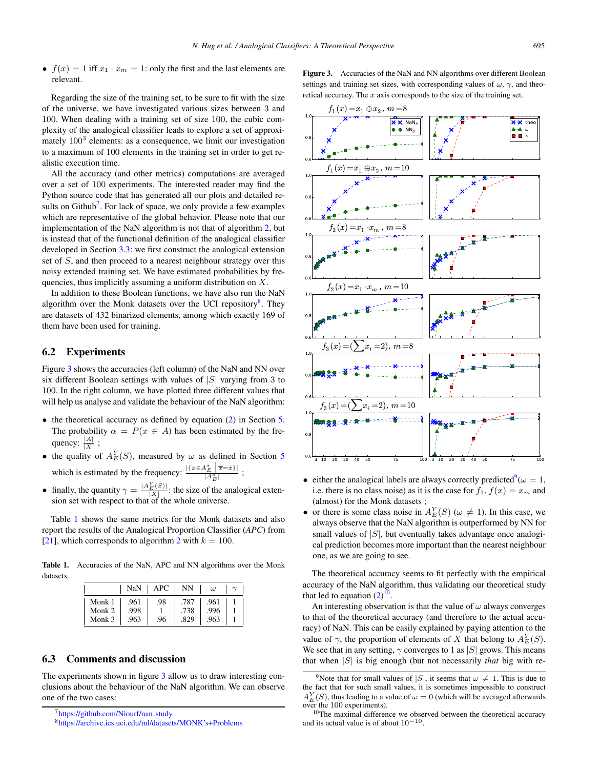<span id="page-6-0"></span>•  $f(x)=1$  iff  $x_1 \cdot x_m = 1$ : only the first and the last elements are relevant.

Regarding the size of the training set, to be sure to fit with the size of the universe, we have investigated various sizes between 3 and 100. When dealing with a training set of size 100, the cubic complexity of the analogical classifier leads to explore a set of approximately  $100<sup>3</sup>$  elements: as a consequence, we limit our investigation to a maximum of 100 elements in the training set in order to get realistic execution time.

All the accuracy (and other metrics) computations are averaged over a set of 100 experiments. The interested reader may find the Python source code that has generated all our plots and detailed results on Github<sup>7</sup>. For lack of space, we only provide a few examples which are representative of the global behavior. Please note that our implementation of the NaN algorithm is not that of algorithm [2,](#page-3-0) but is instead that of the functional definition of the analogical classifier developed in Section [3.3:](#page-3-0) we first construct the analogical extension set of S, and then proceed to a nearest neighbour strategy over this noisy extended training set. We have estimated probabilities by frequencies, thus implicitly assuming a uniform distribution on  $X$ .

In addition to these Boolean functions, we have also run the NaN algorithm over the Monk datasets over the UCI repository<sup>8</sup>. They are datasets of 432 binarized elements, among which exactly 169 of them have been used for training.

# 6.2 Experiments

Figure 3 shows the accuracies (left column) of the NaN and NN over six different Boolean settings with values of  $|S|$  varying from 3 to 100. In the right column, we have plotted three different values that will help us analyse and validate the behaviour of the NaN algorithm:

- the theoretical accuracy as defined by equation [\(2\)](#page-5-0) in Section [5.](#page-4-0) The probability  $\alpha = P(x \in A)$  has been estimated by the frequency:  $\frac{|A|}{|X|}$ ;
- the quality of  $A_E^Y(S)$ , measured by  $\omega$  as defined in Section [5](#page-4-0) which is estimated by the frequency:  $\frac{|\{x \in A_E^* \mid \overline{x} = \dot{x}\}|}{|A_E^*|}$ ;
- finally, the quantity  $\gamma = \frac{|A_E^Y(S)|}{|X|}$ : the size of the analogical extension set with respect to that of the whole universe.

Table 1 shows the same metrics for the Monk datasets and also report the results of the Analogical Proportion Classifier (*APC*) from [\[21\]](#page-8-0), which corresponds to algorithm [2](#page-3-0) with  $k = 100$ .

Table 1. Accuracies of the NaN, APC and NN algorithms over the Monk datasets

|                  | NaN          | APC | NN           | $\omega$     |  |
|------------------|--------------|-----|--------------|--------------|--|
| Monk 1<br>Monk 2 | .961<br>.998 | .98 | .787<br>.738 | .961<br>.996 |  |
| Monk 3           | .963         | .96 | .829         | .963         |  |

## 6.3 Comments and discussion

The experiments shown in figure 3 allow us to draw interesting conclusions about the behaviour of the NaN algorithm. We can observe one of the two cases:

Figure 3. Accuracies of the NaN and NN algorithms over different Boolean settings and training set sizes, with corresponding values of  $\omega$ ,  $\gamma$ , and theoretical accuracy. The  $x$  axis corresponds to the size of the training set.



- either the analogical labels are always correctly predicted<sup>9</sup> $(\omega = 1, \dots, \text{ i.e.})$  as it is the case for  $f, f(x) = x$ , and i.e. there is no class noise) as it is the case for  $f_1$ ,  $f(x) = x_m$  and (almost) for the Monk datasets ;
- or there is some class noise in  $A_E^Y(S)$  ( $\omega \neq 1$ ). In this case, we always observe that the NaN algorithm is outperformed by NN for always observe that the NaN algorithm is outperformed by NN for small values of  $|S|$ , but eventually takes advantage once analogical prediction becomes more important than the nearest neighbour one, as we are going to see.

The theoretical accuracy seems to fit perfectly with the empirical accuracy of the NaN algorithm, thus validating our theoretical study that led to equation  $(2)^{10}$  $(2)^{10}$ .

An interesting observation is that the value of  $\omega$  always converges to that of the theoretical accuracy (and therefore to the actual accuracy) of NaN. This can be easily explained by paying attention to the value of  $\gamma$ , the proportion of elements of X that belong to  $A_E^Y(S)$ .<br>We see that in any setting  $\alpha$  converges to 1 as |S| grows. This means We see that in any setting,  $\gamma$  converges to 1 as |S| grows. This means that when |S| is big enough (but not necessarily *that* big with re-

<sup>&</sup>lt;sup>7</sup>https://github.com/Niourf/nan\_study

[<sup>8</sup>https://archive.ics.uci.edu/ml/datasets/MONK's+Problems](https://archive.ics.uci.edu/ml/datasets/MONK)

<sup>&</sup>lt;sup>9</sup>Note that for small values of |S|, it seems that  $\omega \neq 1$ . This is due to the fact that for such small values, it is sometimes impossible to construct  $A_E^Y(S)$ , thus leading to a value of  $\omega = 0$  (which will be averaged afterwards over the 100 experiments).

<sup>&</sup>lt;sup>10</sup>The maximal difference we observed between the theoretical accuracy and its actual value is of about  $10^{-10}$ .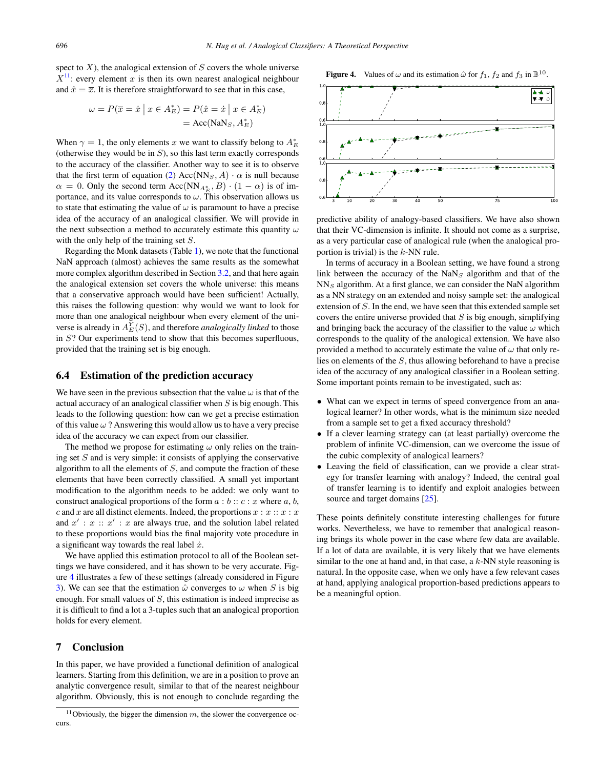<span id="page-7-0"></span>spect to  $X$ ), the analogical extension of  $S$  covers the whole universe  $X<sup>11</sup>$ : every element x is then its own nearest analogical neighbour and  $\hat{x} = \overline{x}$ . It is therefore straightforward to see that in this case,

$$
\omega = P(\overline{x} = \dot{x} \mid x \in A_E^*) = P(\hat{x} = \dot{x} \mid x \in A_E^*)
$$

$$
= Acc(NaN_S, A_E^*)
$$

When  $\gamma = 1$ , the only elements x we want to classify belong to  $A_E^*$ <br>(otherwise they would be in S), so this last term exactly corresponds (otherwise they would be in  $S$ ), so this last term exactly corresponds to the accuracy of the classifier. Another way to see it is to observe that the first term of equation [\(2\)](#page-5-0)  $Acc(NN<sub>S</sub>, A) \cdot \alpha$  is null because  $\alpha = 0$ . Only the second term Acc(NN<sub>A<sup>\*</sup>E</sub>, B) · (1 –  $\alpha$ ) is of im-<br>portance, and its value corresponds to  $\alpha$ . This observation allows us portance, and its value corresponds to  $\omega$ . This observation allows us to state that estimating the value of  $\omega$  is paramount to have a precise idea of the accuracy of an analogical classifier. We will provide in the next subsection a method to accurately estimate this quantity  $\omega$ with the only help of the training set  $S$ .

Regarding the Monk datasets (Table [1\)](#page-6-0), we note that the functional NaN approach (almost) achieves the same results as the somewhat more complex algorithm described in Section [3.2,](#page-2-0) and that here again the analogical extension set covers the whole universe: this means that a conservative approach would have been sufficient! Actually, this raises the following question: why would we want to look for more than one analogical neighbour when every element of the universe is already in  $A_K^{\overline{Y}}(S)$ , and therefore *analogically linked* to those<br>in S? Our experiments tend to show that this becomes superfluous in S? Our experiments tend to show that this becomes superfluous, provided that the training set is big enough.

#### 6.4 Estimation of the prediction accuracy

We have seen in the previous subsection that the value  $\omega$  is that of the actual accuracy of an analogical classifier when  $S$  is big enough. This leads to the following question: how can we get a precise estimation of this value  $\omega$  ? Answering this would allow us to have a very precise idea of the accuracy we can expect from our classifier.

The method we propose for estimating  $\omega$  only relies on the training set  $S$  and is very simple: it consists of applying the conservative algorithm to all the elements of  $S$ , and compute the fraction of these elements that have been correctly classified. A small yet important modification to the algorithm needs to be added: we only want to construct analogical proportions of the form  $a : b :: c : x$  where  $a, b$ , c and x are all distinct elements. Indeed, the proportions  $x : x :: x : x$ and  $x' : x :: x' : x$  are always true, and the solution label related to these proportions would bias the final majority vote procedure in to these proportions would bias the final majority vote procedure in a significant way towards the real label  $\dot{x}$ .

We have applied this estimation protocol to all of the Boolean settings we have considered, and it has shown to be very accurate. Figure 4 illustrates a few of these settings (already considered in Figure [3\)](#page-6-0). We can see that the estimation  $\hat{\omega}$  converges to  $\omega$  when S is big enough. For small values of  $S$ , this estimation is indeed imprecise as it is difficult to find a lot a 3-tuples such that an analogical proportion holds for every element.

## 7 Conclusion

In this paper, we have provided a functional definition of analogical learners. Starting from this definition, we are in a position to prove an analytic convergence result, similar to that of the nearest neighbour algorithm. Obviously, this is not enough to conclude regarding the **Figure 4.** Values of  $\omega$  and its estimation  $\hat{\omega}$  for  $f_1$ ,  $f_2$  and  $f_3$  in  $\mathbb{B}^{10}$ .



predictive ability of analogy-based classifiers. We have also shown that their VC-dimension is infinite. It should not come as a surprise, as a very particular case of analogical rule (when the analogical proportion is trivial) is the  $k$ -NN rule.

In terms of accuracy in a Boolean setting, we have found a strong link between the accuracy of the  $NaN<sub>S</sub>$  algorithm and that of the  $NN<sub>S</sub>$  algorithm. At a first glance, we can consider the NaN algorithm as a NN strategy on an extended and noisy sample set: the analogical extension of S. In the end, we have seen that this extended sample set covers the entire universe provided that  $S$  is big enough, simplifying and bringing back the accuracy of the classifier to the value  $\omega$  which corresponds to the quality of the analogical extension. We have also provided a method to accurately estimate the value of  $\omega$  that only relies on elements of the S, thus allowing beforehand to have a precise idea of the accuracy of any analogical classifier in a Boolean setting. Some important points remain to be investigated, such as:

- What can we expect in terms of speed convergence from an analogical learner? In other words, what is the minimum size needed from a sample set to get a fixed accuracy threshold?
- If a clever learning strategy can (at least partially) overcome the problem of infinite VC-dimension, can we overcome the issue of the cubic complexity of analogical learners?
- Leaving the field of classification, can we provide a clear strategy for transfer learning with analogy? Indeed, the central goal of transfer learning is to identify and exploit analogies between source and target domains [\[25\]](#page-8-0).

These points definitely constitute interesting challenges for future works. Nevertheless, we have to remember that analogical reasoning brings its whole power in the case where few data are available. If a lot of data are available, it is very likely that we have elements similar to the one at hand and, in that case, a  $k$ -NN style reasoning is natural. In the opposite case, when we only have a few relevant cases at hand, applying analogical proportion-based predictions appears to be a meaningful option.

<sup>&</sup>lt;sup>11</sup>Obviously, the bigger the dimension  $m$ , the slower the convergence occurs.